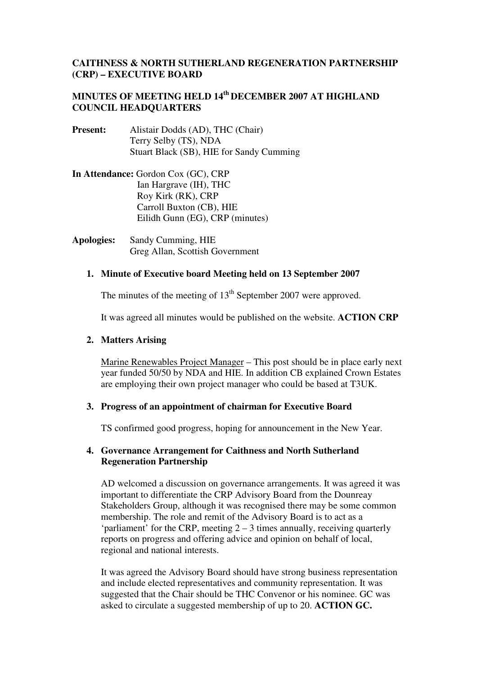# **CAITHNESS & NORTH SUTHERLAND REGENERATION PARTNERSHIP (CRP) – EXECUTIVE BOARD**

# **MINUTES OF MEETING HELD 14th DECEMBER 2007 AT HIGHLAND COUNCIL HEADQUARTERS**

- **Present:** Alistair Dodds (AD), THC (Chair) Terry Selby (TS), NDA Stuart Black (SB), HIE for Sandy Cumming
- **In Attendance:** Gordon Cox (GC), CRP Ian Hargrave (IH), THC Roy Kirk (RK), CRP Carroll Buxton (CB), HIE Eilidh Gunn (EG), CRP (minutes)
- **Apologies:** Sandy Cumming, HIE Greg Allan, Scottish Government

## **1. Minute of Executive board Meeting held on 13 September 2007**

The minutes of the meeting of  $13<sup>th</sup>$  September 2007 were approved.

It was agreed all minutes would be published on the website. **ACTION CRP**

## **2. Matters Arising**

Marine Renewables Project Manager – This post should be in place early next year funded 50/50 by NDA and HIE. In addition CB explained Crown Estates are employing their own project manager who could be based at T3UK.

## **3. Progress of an appointment of chairman for Executive Board**

TS confirmed good progress, hoping for announcement in the New Year.

# **4. Governance Arrangement for Caithness and North Sutherland Regeneration Partnership**

AD welcomed a discussion on governance arrangements. It was agreed it was important to differentiate the CRP Advisory Board from the Dounreay Stakeholders Group, although it was recognised there may be some common membership. The role and remit of the Advisory Board is to act as a 'parliament' for the CRP, meeting 2 – 3 times annually, receiving quarterly reports on progress and offering advice and opinion on behalf of local, regional and national interests.

It was agreed the Advisory Board should have strong business representation and include elected representatives and community representation. It was suggested that the Chair should be THC Convenor or his nominee. GC was asked to circulate a suggested membership of up to 20. **ACTION GC.**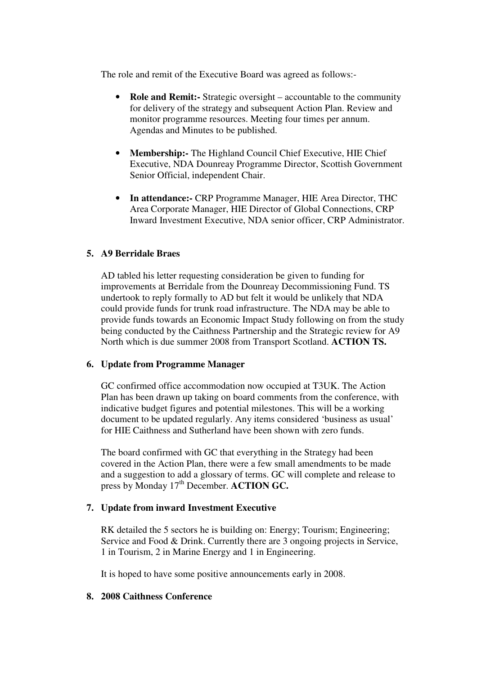The role and remit of the Executive Board was agreed as follows:-

- **Role and Remit:-** Strategic oversight accountable to the community for delivery of the strategy and subsequent Action Plan. Review and monitor programme resources. Meeting four times per annum. Agendas and Minutes to be published.
- **Membership:-** The Highland Council Chief Executive, HIE Chief Executive, NDA Dounreay Programme Director, Scottish Government Senior Official, independent Chair.
- **In attendance:-** CRP Programme Manager, HIE Area Director, THC Area Corporate Manager, HIE Director of Global Connections, CRP Inward Investment Executive, NDA senior officer, CRP Administrator.

# **5. A9 Berridale Braes**

AD tabled his letter requesting consideration be given to funding for improvements at Berridale from the Dounreay Decommissioning Fund. TS undertook to reply formally to AD but felt it would be unlikely that NDA could provide funds for trunk road infrastructure. The NDA may be able to provide funds towards an Economic Impact Study following on from the study being conducted by the Caithness Partnership and the Strategic review for A9 North which is due summer 2008 from Transport Scotland. **ACTION TS.**

## **6. Update from Programme Manager**

GC confirmed office accommodation now occupied at T3UK. The Action Plan has been drawn up taking on board comments from the conference, with indicative budget figures and potential milestones. This will be a working document to be updated regularly. Any items considered 'business as usual' for HIE Caithness and Sutherland have been shown with zero funds.

The board confirmed with GC that everything in the Strategy had been covered in the Action Plan, there were a few small amendments to be made and a suggestion to add a glossary of terms. GC will complete and release to press by Monday 17<sup>th</sup> December. **ACTION GC.** 

## **7. Update from inward Investment Executive**

RK detailed the 5 sectors he is building on: Energy; Tourism; Engineering; Service and Food & Drink. Currently there are 3 ongoing projects in Service, 1 in Tourism, 2 in Marine Energy and 1 in Engineering.

It is hoped to have some positive announcements early in 2008.

## **8. 2008 Caithness Conference**